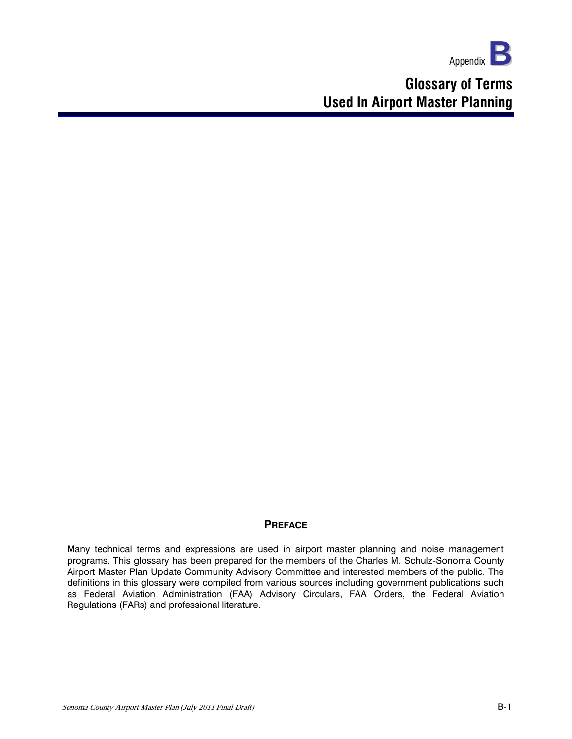

## **PREFACE**

Many technical terms and expressions are used in airport master planning and noise management programs. This glossary has been prepared for the members of the Charles M. Schulz-Sonoma County Airport Master Plan Update Community Advisory Committee and interested members of the public. The definitions in this glossary were compiled from various sources including government publications such as Federal Aviation Administration (FAA) Advisory Circulars, FAA Orders, the Federal Aviation Regulations (FARs) and professional literature.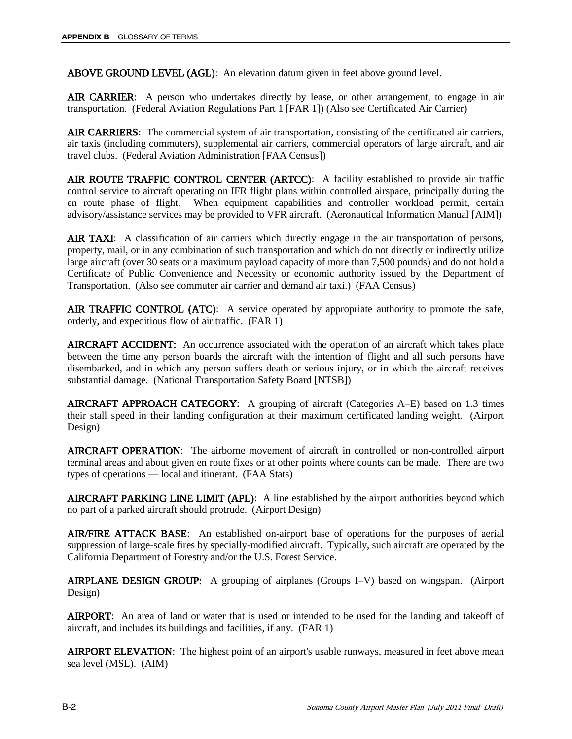ABOVE GROUND LEVEL (AGL): An elevation datum given in feet above ground level.

AIR CARRIER: A person who undertakes directly by lease, or other arrangement, to engage in air transportation. (Federal Aviation Regulations Part 1 [FAR 1]) (Also see Certificated Air Carrier)

AIR CARRIERS: The commercial system of air transportation, consisting of the certificated air carriers, air taxis (including commuters), supplemental air carriers, commercial operators of large aircraft, and air travel clubs. (Federal Aviation Administration [FAA Census])

AIR ROUTE TRAFFIC CONTROL CENTER (ARTCC): A facility established to provide air traffic control service to aircraft operating on IFR flight plans within controlled airspace, principally during the en route phase of flight. When equipment capabilities and controller workload permit, certain advisory/assistance services may be provided to VFR aircraft. (Aeronautical Information Manual [AIM])

AIR TAXI: A classification of air carriers which directly engage in the air transportation of persons, property, mail, or in any combination of such transportation and which do not directly or indirectly utilize large aircraft (over 30 seats or a maximum payload capacity of more than 7,500 pounds) and do not hold a Certificate of Public Convenience and Necessity or economic authority issued by the Department of Transportation. (Also see commuter air carrier and demand air taxi.) (FAA Census)

AIR TRAFFIC CONTROL (ATC): A service operated by appropriate authority to promote the safe, orderly, and expeditious flow of air traffic. (FAR 1)

AIRCRAFT ACCIDENT: An occurrence associated with the operation of an aircraft which takes place between the time any person boards the aircraft with the intention of flight and all such persons have disembarked, and in which any person suffers death or serious injury, or in which the aircraft receives substantial damage. (National Transportation Safety Board [NTSB])

AIRCRAFT APPROACH CATEGORY: A grouping of aircraft (Categories A–E) based on 1.3 times their stall speed in their landing configuration at their maximum certificated landing weight. (Airport Design)

AIRCRAFT OPERATION: The airborne movement of aircraft in controlled or non-controlled airport terminal areas and about given en route fixes or at other points where counts can be made. There are two types of operations — local and itinerant. (FAA Stats)

AIRCRAFT PARKING LINE LIMIT (APL): A line established by the airport authorities beyond which no part of a parked aircraft should protrude. (Airport Design)

AIR/FIRE ATTACK BASE: An established on-airport base of operations for the purposes of aerial suppression of large-scale fires by specially-modified aircraft. Typically, such aircraft are operated by the California Department of Forestry and/or the U.S. Forest Service.

AIRPLANE DESIGN GROUP: A grouping of airplanes (Groups I–V) based on wingspan. (Airport Design)

AIRPORT: An area of land or water that is used or intended to be used for the landing and takeoff of aircraft, and includes its buildings and facilities, if any. (FAR 1)

AIRPORT ELEVATION: The highest point of an airport's usable runways, measured in feet above mean sea level (MSL). (AIM)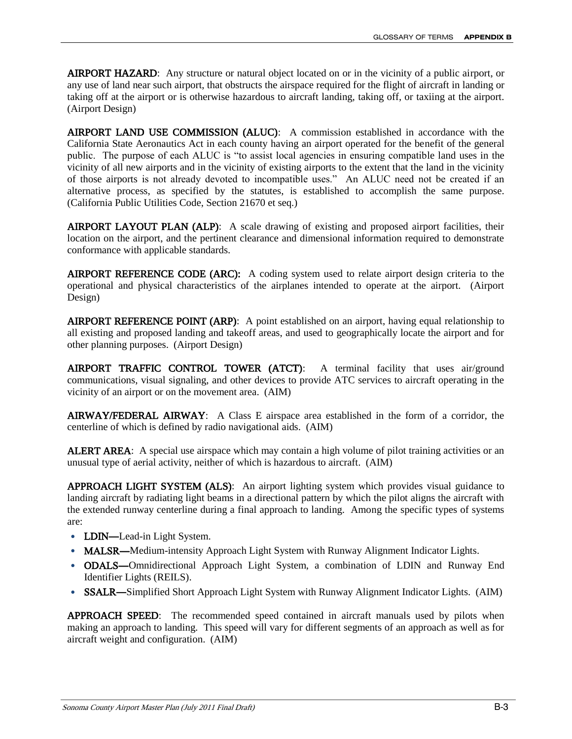AIRPORT HAZARD: Any structure or natural object located on or in the vicinity of a public airport, or any use of land near such airport, that obstructs the airspace required for the flight of aircraft in landing or taking off at the airport or is otherwise hazardous to aircraft landing, taking off, or taxiing at the airport. (Airport Design)

AIRPORT LAND USE COMMISSION (ALUC): A commission established in accordance with the California State Aeronautics Act in each county having an airport operated for the benefit of the general public. The purpose of each ALUC is "to assist local agencies in ensuring compatible land uses in the vicinity of all new airports and in the vicinity of existing airports to the extent that the land in the vicinity of those airports is not already devoted to incompatible uses." An ALUC need not be created if an alternative process, as specified by the statutes, is established to accomplish the same purpose. (California Public Utilities Code, Section 21670 et seq.)

AIRPORT LAYOUT PLAN (ALP): A scale drawing of existing and proposed airport facilities, their location on the airport, and the pertinent clearance and dimensional information required to demonstrate conformance with applicable standards.

AIRPORT REFERENCE CODE (ARC): A coding system used to relate airport design criteria to the operational and physical characteristics of the airplanes intended to operate at the airport. (Airport Design)

AIRPORT REFERENCE POINT (ARP): A point established on an airport, having equal relationship to all existing and proposed landing and takeoff areas, and used to geographically locate the airport and for other planning purposes. (Airport Design)

AIRPORT TRAFFIC CONTROL TOWER (ATCT): A terminal facility that uses air/ground communications, visual signaling, and other devices to provide ATC services to aircraft operating in the vicinity of an airport or on the movement area. (AIM)

AIRWAY/FEDERAL AIRWAY: A Class E airspace area established in the form of a corridor, the centerline of which is defined by radio navigational aids. (AIM)

ALERT AREA: A special use airspace which may contain a high volume of pilot training activities or an unusual type of aerial activity, neither of which is hazardous to aircraft. (AIM)

APPROACH LIGHT SYSTEM (ALS): An airport lighting system which provides visual guidance to landing aircraft by radiating light beams in a directional pattern by which the pilot aligns the aircraft with the extended runway centerline during a final approach to landing. Among the specific types of systems are:

- LDIN—Lead-in Light System.
- MALSR—Medium-intensity Approach Light System with Runway Alignment Indicator Lights.
- ODALS―Omnidirectional Approach Light System, a combination of LDIN and Runway End Identifier Lights (REILS).
- SSALR—Simplified Short Approach Light System with Runway Alignment Indicator Lights. (AIM)

APPROACH SPEED: The recommended speed contained in aircraft manuals used by pilots when making an approach to landing. This speed will vary for different segments of an approach as well as for aircraft weight and configuration. (AIM)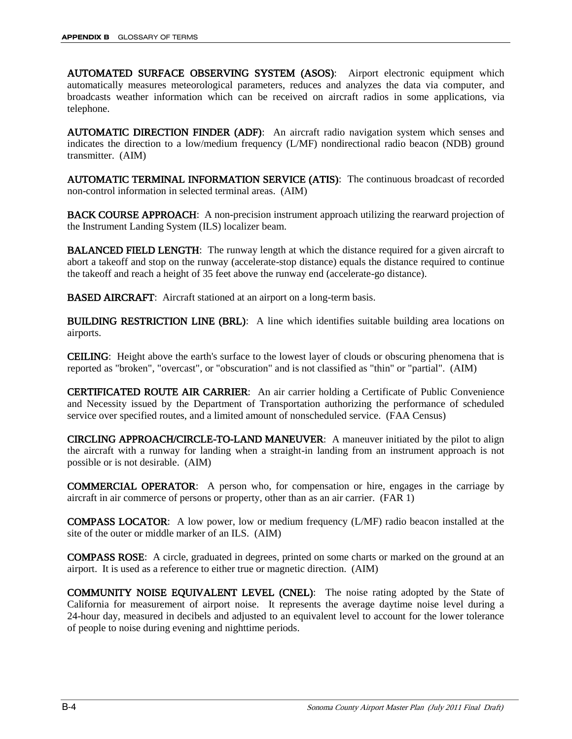AUTOMATED SURFACE OBSERVING SYSTEM (ASOS): Airport electronic equipment which automatically measures meteorological parameters, reduces and analyzes the data via computer, and broadcasts weather information which can be received on aircraft radios in some applications, via telephone.

AUTOMATIC DIRECTION FINDER (ADF): An aircraft radio navigation system which senses and indicates the direction to a low/medium frequency (L/MF) nondirectional radio beacon (NDB) ground transmitter. (AIM)

AUTOMATIC TERMINAL INFORMATION SERVICE (ATIS): The continuous broadcast of recorded non-control information in selected terminal areas. (AIM)

BACK COURSE APPROACH: A non-precision instrument approach utilizing the rearward projection of the Instrument Landing System (ILS) localizer beam.

**BALANCED FIELD LENGTH:** The runway length at which the distance required for a given aircraft to abort a takeoff and stop on the runway (accelerate-stop distance) equals the distance required to continue the takeoff and reach a height of 35 feet above the runway end (accelerate-go distance).

BASED AIRCRAFT: Aircraft stationed at an airport on a long-term basis.

BUILDING RESTRICTION LINE (BRL): A line which identifies suitable building area locations on airports.

CEILING: Height above the earth's surface to the lowest layer of clouds or obscuring phenomena that is reported as "broken", "overcast", or "obscuration" and is not classified as "thin" or "partial". (AIM)

CERTIFICATED ROUTE AIR CARRIER: An air carrier holding a Certificate of Public Convenience and Necessity issued by the Department of Transportation authorizing the performance of scheduled service over specified routes, and a limited amount of nonscheduled service. (FAA Census)

CIRCLING APPROACH/CIRCLE-TO-LAND MANEUVER: A maneuver initiated by the pilot to align the aircraft with a runway for landing when a straight-in landing from an instrument approach is not possible or is not desirable. (AIM)

COMMERCIAL OPERATOR: A person who, for compensation or hire, engages in the carriage by aircraft in air commerce of persons or property, other than as an air carrier. (FAR 1)

COMPASS LOCATOR: A low power, low or medium frequency (L/MF) radio beacon installed at the site of the outer or middle marker of an ILS. (AIM)

COMPASS ROSE: A circle, graduated in degrees, printed on some charts or marked on the ground at an airport. It is used as a reference to either true or magnetic direction. (AIM)

COMMUNITY NOISE EQUIVALENT LEVEL (CNEL): The noise rating adopted by the State of California for measurement of airport noise. It represents the average daytime noise level during a 24-hour day, measured in decibels and adjusted to an equivalent level to account for the lower tolerance of people to noise during evening and nighttime periods.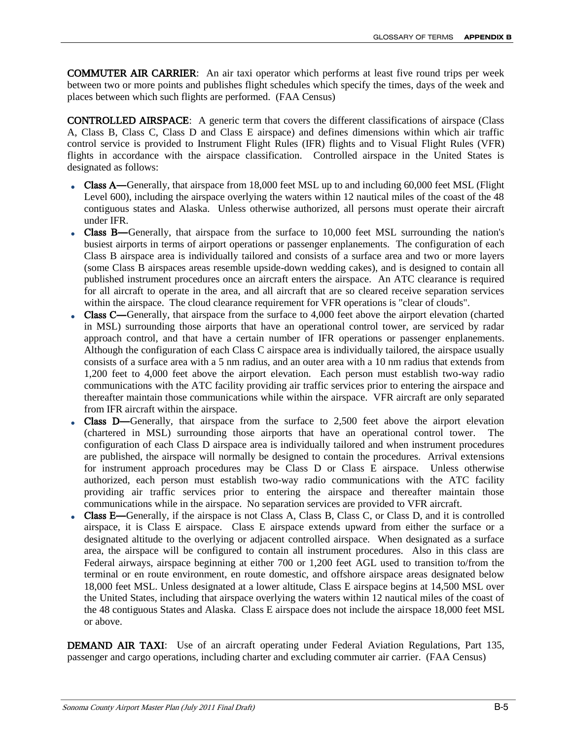COMMUTER AIR CARRIER: An air taxi operator which performs at least five round trips per week between two or more points and publishes flight schedules which specify the times, days of the week and places between which such flights are performed. (FAA Census)

CONTROLLED AIRSPACE: A generic term that covers the different classifications of airspace (Class A, Class B, Class C, Class D and Class E airspace) and defines dimensions within which air traffic control service is provided to Instrument Flight Rules (IFR) flights and to Visual Flight Rules (VFR) flights in accordance with the airspace classification. Controlled airspace in the United States is designated as follows:

- Class A—Generally, that airspace from 18,000 feet MSL up to and including 60,000 feet MSL (Flight Level 600), including the airspace overlying the waters within 12 nautical miles of the coast of the 48 contiguous states and Alaska. Unless otherwise authorized, all persons must operate their aircraft under IFR.
- Class B—Generally, that airspace from the surface to 10,000 feet MSL surrounding the nation's busiest airports in terms of airport operations or passenger enplanements. The configuration of each Class B airspace area is individually tailored and consists of a surface area and two or more layers (some Class B airspaces areas resemble upside-down wedding cakes), and is designed to contain all published instrument procedures once an aircraft enters the airspace. An ATC clearance is required for all aircraft to operate in the area, and all aircraft that are so cleared receive separation services within the airspace. The cloud clearance requirement for VFR operations is "clear of clouds".
- Class C―Generally, that airspace from the surface to 4,000 feet above the airport elevation (charted in MSL) surrounding those airports that have an operational control tower, are serviced by radar approach control, and that have a certain number of IFR operations or passenger enplanements. Although the configuration of each Class C airspace area is individually tailored, the airspace usually consists of a surface area with a 5 nm radius, and an outer area with a 10 nm radius that extends from 1,200 feet to 4,000 feet above the airport elevation. Each person must establish two-way radio communications with the ATC facility providing air traffic services prior to entering the airspace and thereafter maintain those communications while within the airspace. VFR aircraft are only separated from IFR aircraft within the airspace.
- Class D—Generally, that airspace from the surface to 2,500 feet above the airport elevation (chartered in MSL) surrounding those airports that have an operational control tower. The (chartered in MSL) surrounding those airports that have an operational control tower. configuration of each Class D airspace area is individually tailored and when instrument procedures are published, the airspace will normally be designed to contain the procedures. Arrival extensions for instrument approach procedures may be Class D or Class E airspace. Unless otherwise authorized, each person must establish two-way radio communications with the ATC facility providing air traffic services prior to entering the airspace and thereafter maintain those communications while in the airspace. No separation services are provided to VFR aircraft.
- Class E—Generally, if the airspace is not Class A, Class B, Class C, or Class D, and it is controlled airspace, it is Class E airspace. Class E airspace extends upward from either the surface or a designated altitude to the overlying or adjacent controlled airspace. When designated as a surface area, the airspace will be configured to contain all instrument procedures. Also in this class are Federal airways, airspace beginning at either 700 or 1,200 feet AGL used to transition to/from the terminal or en route environment, en route domestic, and offshore airspace areas designated below 18,000 feet MSL. Unless designated at a lower altitude, Class E airspace begins at 14,500 MSL over the United States, including that airspace overlying the waters within 12 nautical miles of the coast of the 48 contiguous States and Alaska. Class E airspace does not include the airspace 18,000 feet MSL or above.

DEMAND AIR TAXI: Use of an aircraft operating under Federal Aviation Regulations, Part 135, passenger and cargo operations, including charter and excluding commuter air carrier. (FAA Census)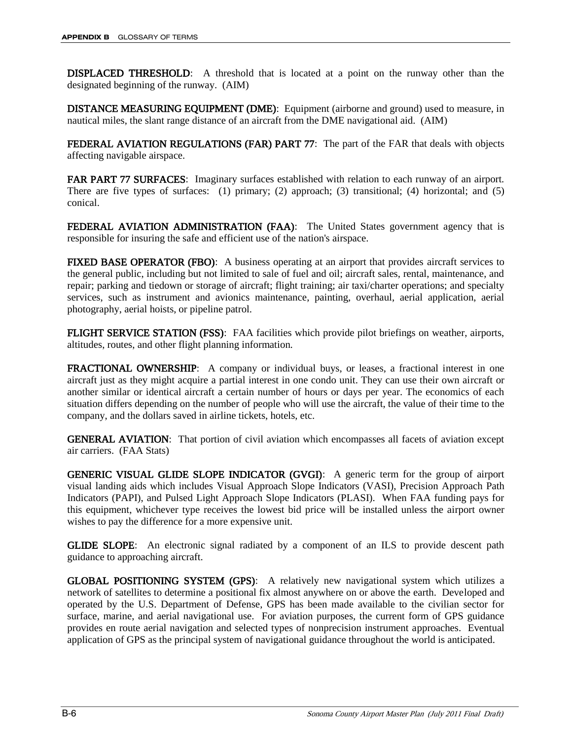DISPLACED THRESHOLD: A threshold that is located at a point on the runway other than the designated beginning of the runway. (AIM)

DISTANCE MEASURING EQUIPMENT (DME): Equipment (airborne and ground) used to measure, in nautical miles, the slant range distance of an aircraft from the DME navigational aid. (AIM)

FEDERAL AVIATION REGULATIONS (FAR) PART 77: The part of the FAR that deals with objects affecting navigable airspace.

FAR PART 77 SURFACES: Imaginary surfaces established with relation to each runway of an airport. There are five types of surfaces: (1) primary; (2) approach; (3) transitional; (4) horizontal; and (5) conical.

FEDERAL AVIATION ADMINISTRATION (FAA): The United States government agency that is responsible for insuring the safe and efficient use of the nation's airspace.

FIXED BASE OPERATOR (FBO): A business operating at an airport that provides aircraft services to the general public, including but not limited to sale of fuel and oil; aircraft sales, rental, maintenance, and repair; parking and tiedown or storage of aircraft; flight training; air taxi/charter operations; and specialty services, such as instrument and avionics maintenance, painting, overhaul, aerial application, aerial photography, aerial hoists, or pipeline patrol.

FLIGHT SERVICE STATION (FSS): FAA facilities which provide pilot briefings on weather, airports, altitudes, routes, and other flight planning information.

FRACTIONAL OWNERSHIP: A company or individual buys, or leases, a fractional interest in one aircraft just as they might acquire a partial interest in one condo unit. They can use their own aircraft or another similar or identical aircraft a certain number of hours or days per year. The economics of each situation differs depending on the number of people who will use the aircraft, the value of their time to the company, and the dollars saved in airline tickets, hotels, etc.

GENERAL AVIATION: That portion of civil aviation which encompasses all facets of aviation except air carriers. (FAA Stats)

GENERIC VISUAL GLIDE SLOPE INDICATOR (GVGI): A generic term for the group of airport visual landing aids which includes Visual Approach Slope Indicators (VASI), Precision Approach Path Indicators (PAPI), and Pulsed Light Approach Slope Indicators (PLASI). When FAA funding pays for this equipment, whichever type receives the lowest bid price will be installed unless the airport owner wishes to pay the difference for a more expensive unit.

GLIDE SLOPE: An electronic signal radiated by a component of an ILS to provide descent path guidance to approaching aircraft.

GLOBAL POSITIONING SYSTEM (GPS): A relatively new navigational system which utilizes a network of satellites to determine a positional fix almost anywhere on or above the earth. Developed and operated by the U.S. Department of Defense, GPS has been made available to the civilian sector for surface, marine, and aerial navigational use. For aviation purposes, the current form of GPS guidance provides en route aerial navigation and selected types of nonprecision instrument approaches. Eventual application of GPS as the principal system of navigational guidance throughout the world is anticipated.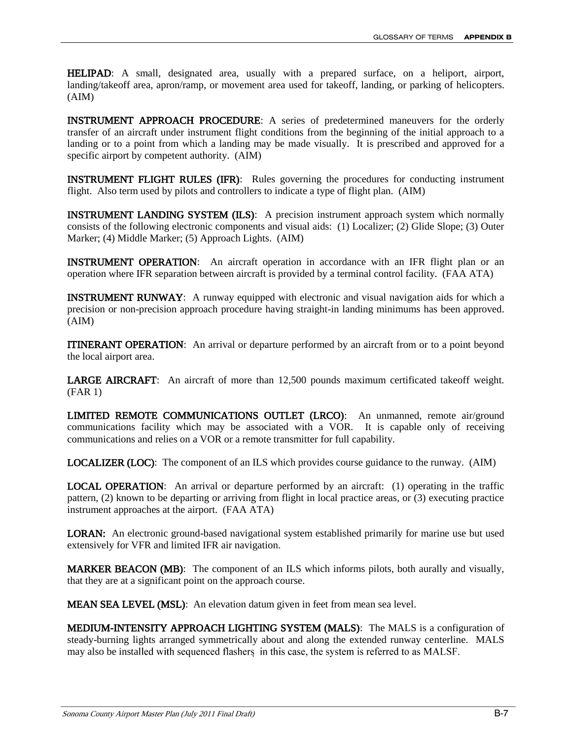HELIPAD: A small, designated area, usually with a prepared surface, on a heliport, airport, landing/takeoff area, apron/ramp, or movement area used for takeoff, landing, or parking of helicopters. (AIM)

INSTRUMENT APPROACH PROCEDURE: A series of predetermined maneuvers for the orderly transfer of an aircraft under instrument flight conditions from the beginning of the initial approach to a landing or to a point from which a landing may be made visually. It is prescribed and approved for a specific airport by competent authority. (AIM)

INSTRUMENT FLIGHT RULES (IFR): Rules governing the procedures for conducting instrument flight. Also term used by pilots and controllers to indicate a type of flight plan. (AIM)

INSTRUMENT LANDING SYSTEM (ILS): A precision instrument approach system which normally consists of the following electronic components and visual aids: (1) Localizer; (2) Glide Slope; (3) Outer Marker; (4) Middle Marker; (5) Approach Lights. (AIM)

INSTRUMENT OPERATION: An aircraft operation in accordance with an IFR flight plan or an operation where IFR separation between aircraft is provided by a terminal control facility. (FAA ATA)

INSTRUMENT RUNWAY: A runway equipped with electronic and visual navigation aids for which a precision or non-precision approach procedure having straight-in landing minimums has been approved. (AIM)

ITINERANT OPERATION: An arrival or departure performed by an aircraft from or to a point beyond the local airport area.

LARGE AIRCRAFT: An aircraft of more than 12,500 pounds maximum certificated takeoff weight. (FAR 1)

LIMITED REMOTE COMMUNICATIONS OUTLET (LRCO): An unmanned, remote air/ground communications facility which may be associated with a VOR. It is capable only of receiving communications and relies on a VOR or a remote transmitter for full capability.

LOCALIZER (LOC): The component of an ILS which provides course guidance to the runway. (AIM)

LOCAL OPERATION: An arrival or departure performed by an aircraft: (1) operating in the traffic pattern, (2) known to be departing or arriving from flight in local practice areas, or (3) executing practice instrument approaches at the airport. (FAA ATA)

LORAN: An electronic ground-based navigational system established primarily for marine use but used extensively for VFR and limited IFR air navigation.

MARKER BEACON (MB): The component of an ILS which informs pilots, both aurally and visually, that they are at a significant point on the approach course.

**MEAN SEA LEVEL (MSL):** An elevation datum given in feet from mean sea level.

MEDIUM-INTENSITY APPROACH LIGHTING SYSTEM (MALS): The MALS is a configuration of steady-burning lights arranged symmetrically about and along the extended runway centerline. MALS may also be installed with sequenced flashers in this case, the system is referred to as MALSF.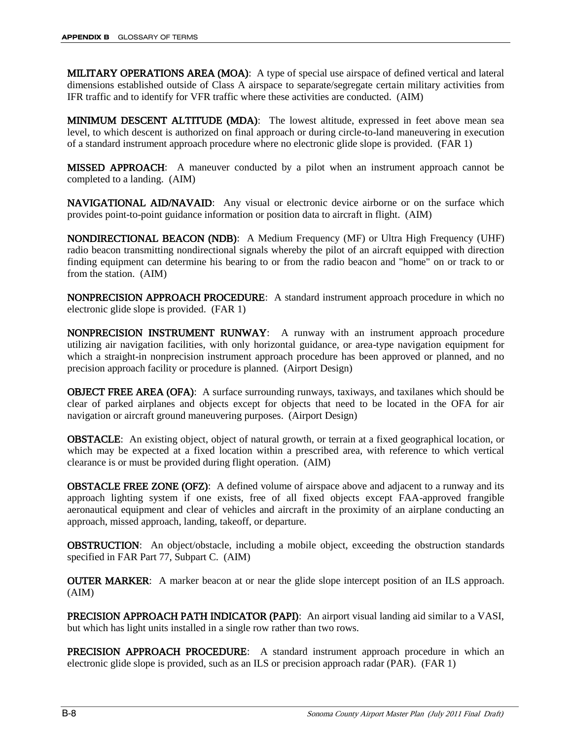MILITARY OPERATIONS AREA (MOA): A type of special use airspace of defined vertical and lateral dimensions established outside of Class A airspace to separate/segregate certain military activities from IFR traffic and to identify for VFR traffic where these activities are conducted. (AIM)

MINIMUM DESCENT ALTITUDE (MDA): The lowest altitude, expressed in feet above mean sea level, to which descent is authorized on final approach or during circle-to-land maneuvering in execution of a standard instrument approach procedure where no electronic glide slope is provided. (FAR 1)

MISSED APPROACH: A maneuver conducted by a pilot when an instrument approach cannot be completed to a landing. (AIM)

NAVIGATIONAL AID/NAVAID: Any visual or electronic device airborne or on the surface which provides point-to-point guidance information or position data to aircraft in flight. (AIM)

NONDIRECTIONAL BEACON (NDB): A Medium Frequency (MF) or Ultra High Frequency (UHF) radio beacon transmitting nondirectional signals whereby the pilot of an aircraft equipped with direction finding equipment can determine his bearing to or from the radio beacon and "home" on or track to or from the station. (AIM)

NONPRECISION APPROACH PROCEDURE: A standard instrument approach procedure in which no electronic glide slope is provided. (FAR 1)

NONPRECISION INSTRUMENT RUNWAY: A runway with an instrument approach procedure utilizing air navigation facilities, with only horizontal guidance, or area-type navigation equipment for which a straight-in nonprecision instrument approach procedure has been approved or planned, and no precision approach facility or procedure is planned. (Airport Design)

**OBJECT FREE AREA (OFA):** A surface surrounding runways, taxiways, and taxilanes which should be clear of parked airplanes and objects except for objects that need to be located in the OFA for air navigation or aircraft ground maneuvering purposes. (Airport Design)

OBSTACLE: An existing object, object of natural growth, or terrain at a fixed geographical location, or which may be expected at a fixed location within a prescribed area, with reference to which vertical clearance is or must be provided during flight operation. (AIM)

OBSTACLE FREE ZONE (OFZ): A defined volume of airspace above and adjacent to a runway and its approach lighting system if one exists, free of all fixed objects except FAA-approved frangible aeronautical equipment and clear of vehicles and aircraft in the proximity of an airplane conducting an approach, missed approach, landing, takeoff, or departure.

OBSTRUCTION: An object/obstacle, including a mobile object, exceeding the obstruction standards specified in FAR Part 77, Subpart C. (AIM)

OUTER MARKER: A marker beacon at or near the glide slope intercept position of an ILS approach. (AIM)

PRECISION APPROACH PATH INDICATOR (PAPI): An airport visual landing aid similar to a VASI, but which has light units installed in a single row rather than two rows.

PRECISION APPROACH PROCEDURE: A standard instrument approach procedure in which an electronic glide slope is provided, such as an ILS or precision approach radar (PAR). (FAR 1)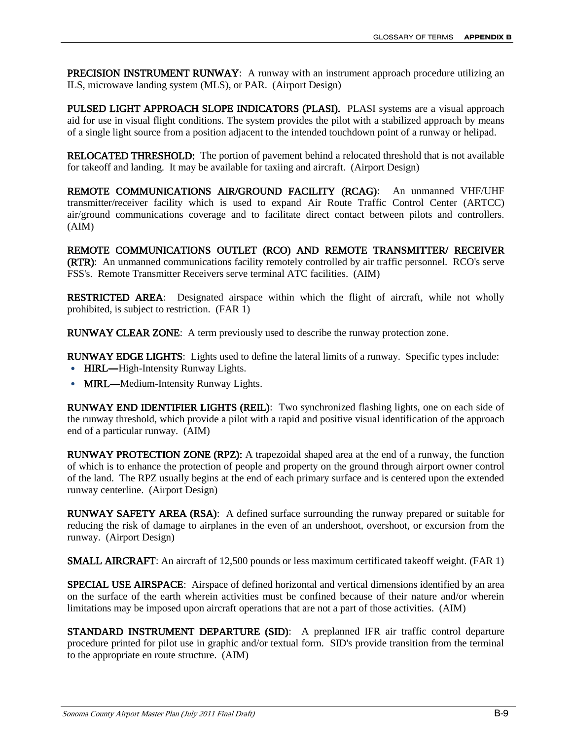PRECISION INSTRUMENT RUNWAY: A runway with an instrument approach procedure utilizing an ILS, microwave landing system (MLS), or PAR. (Airport Design)

PULSED LIGHT APPROACH SLOPE INDICATORS (PLASI). PLASI systems are a visual approach aid for use in visual flight conditions. The system provides the pilot with a stabilized approach by means of a single light source from a position adjacent to the intended touchdown point of a runway or helipad.

RELOCATED THRESHOLD: The portion of pavement behind a relocated threshold that is not available for takeoff and landing. It may be available for taxiing and aircraft. (Airport Design)

REMOTE COMMUNICATIONS AIR/GROUND FACILITY (RCAG): An unmanned VHF/UHF transmitter/receiver facility which is used to expand Air Route Traffic Control Center (ARTCC) air/ground communications coverage and to facilitate direct contact between pilots and controllers. (AIM)

REMOTE COMMUNICATIONS OUTLET (RCO) AND REMOTE TRANSMITTER/ RECEIVER (RTR): An unmanned communications facility remotely controlled by air traffic personnel. RCO's serve FSS's. Remote Transmitter Receivers serve terminal ATC facilities. (AIM)

RESTRICTED AREA: Designated airspace within which the flight of aircraft, while not wholly prohibited, is subject to restriction. (FAR 1)

RUNWAY CLEAR ZONE: A term previously used to describe the runway protection zone.

RUNWAY EDGE LIGHTS: Lights used to define the lateral limits of a runway. Specific types include:

- HIRL—High-Intensity Runway Lights.
- MIRL—Medium-Intensity Runway Lights.

RUNWAY END IDENTIFIER LIGHTS (REIL): Two synchronized flashing lights, one on each side of the runway threshold, which provide a pilot with a rapid and positive visual identification of the approach end of a particular runway. (AIM)

RUNWAY PROTECTION ZONE (RPZ): A trapezoidal shaped area at the end of a runway, the function of which is to enhance the protection of people and property on the ground through airport owner control of the land. The RPZ usually begins at the end of each primary surface and is centered upon the extended runway centerline. (Airport Design)

RUNWAY SAFETY AREA (RSA): A defined surface surrounding the runway prepared or suitable for reducing the risk of damage to airplanes in the even of an undershoot, overshoot, or excursion from the runway. (Airport Design)

SMALL AIRCRAFT: An aircraft of 12,500 pounds or less maximum certificated takeoff weight. (FAR 1)

SPECIAL USE AIRSPACE: Airspace of defined horizontal and vertical dimensions identified by an area on the surface of the earth wherein activities must be confined because of their nature and/or wherein limitations may be imposed upon aircraft operations that are not a part of those activities. (AIM)

STANDARD INSTRUMENT DEPARTURE (SID): A preplanned IFR air traffic control departure procedure printed for pilot use in graphic and/or textual form. SID's provide transition from the terminal to the appropriate en route structure. (AIM)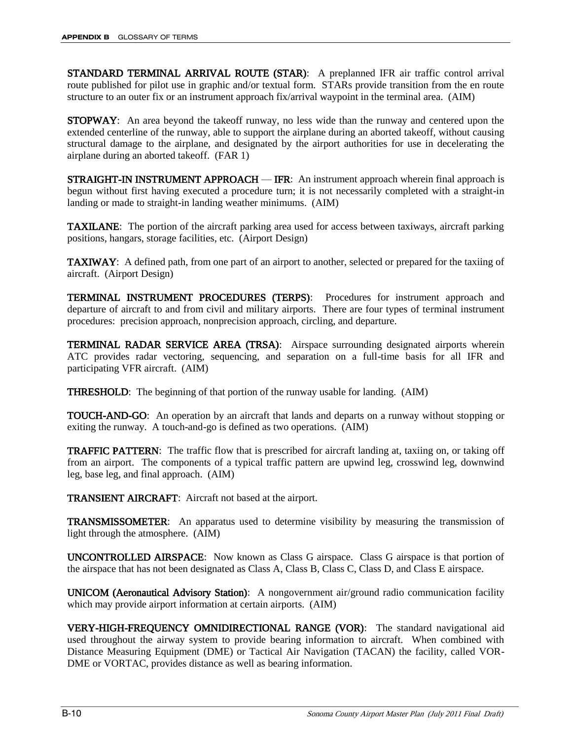STANDARD TERMINAL ARRIVAL ROUTE (STAR): A preplanned IFR air traffic control arrival route published for pilot use in graphic and/or textual form. STARs provide transition from the en route structure to an outer fix or an instrument approach fix/arrival waypoint in the terminal area. (AIM)

STOPWAY: An area beyond the takeoff runway, no less wide than the runway and centered upon the extended centerline of the runway, able to support the airplane during an aborted takeoff, without causing structural damage to the airplane, and designated by the airport authorities for use in decelerating the airplane during an aborted takeoff. (FAR 1)

STRAIGHT-IN INSTRUMENT APPROACH — IFR: An instrument approach wherein final approach is begun without first having executed a procedure turn; it is not necessarily completed with a straight-in landing or made to straight-in landing weather minimums. (AIM)

TAXILANE: The portion of the aircraft parking area used for access between taxiways, aircraft parking positions, hangars, storage facilities, etc. (Airport Design)

TAXIWAY: A defined path, from one part of an airport to another, selected or prepared for the taxiing of aircraft. (Airport Design)

TERMINAL INSTRUMENT PROCEDURES (TERPS): Procedures for instrument approach and departure of aircraft to and from civil and military airports. There are four types of terminal instrument procedures: precision approach, nonprecision approach, circling, and departure.

TERMINAL RADAR SERVICE AREA (TRSA): Airspace surrounding designated airports wherein ATC provides radar vectoring, sequencing, and separation on a full-time basis for all IFR and participating VFR aircraft. (AIM)

THRESHOLD: The beginning of that portion of the runway usable for landing. (AIM)

TOUCH-AND-GO: An operation by an aircraft that lands and departs on a runway without stopping or exiting the runway. A touch-and-go is defined as two operations. (AIM)

TRAFFIC PATTERN: The traffic flow that is prescribed for aircraft landing at, taxiing on, or taking off from an airport. The components of a typical traffic pattern are upwind leg, crosswind leg, downwind leg, base leg, and final approach. (AIM)

TRANSIENT AIRCRAFT: Aircraft not based at the airport.

TRANSMISSOMETER: An apparatus used to determine visibility by measuring the transmission of light through the atmosphere. (AIM)

UNCONTROLLED AIRSPACE: Now known as Class G airspace. Class G airspace is that portion of the airspace that has not been designated as Class A, Class B, Class C, Class D, and Class E airspace.

UNICOM (Aeronautical Advisory Station): A nongovernment air/ground radio communication facility which may provide airport information at certain airports. (AIM)

VERY-HIGH-FREQUENCY OMNIDIRECTIONAL RANGE (VOR): The standard navigational aid used throughout the airway system to provide bearing information to aircraft. When combined with Distance Measuring Equipment (DME) or Tactical Air Navigation (TACAN) the facility, called VOR-DME or VORTAC, provides distance as well as bearing information.